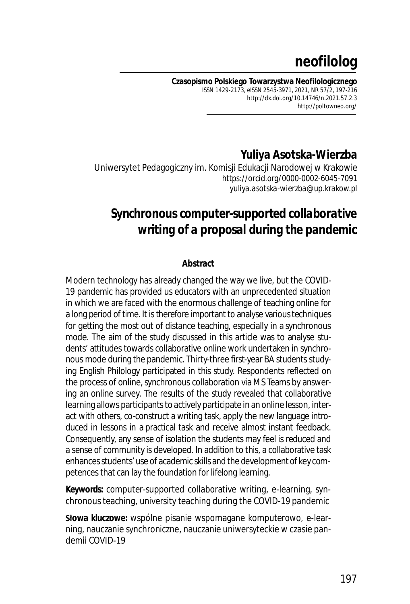# **neofilolog**

**Czasopismo Polskiego Towarzystwa Neofilologicznego** ISSN 1429-2173, eISSN 2545-3971, 2021, NR 57/2, 197-216 *http://dx.doi.org/10.14746/n.2021.57.2.3* http://poltowneo.org/

# **Yuliya Asotska-Wierzba**

Uniwersytet Pedagogiczny im. Komisji Edukacji Narodowej w Krakowie https://orcid.org/0000-0002-6045-7091 *yuliya.asotska-wierzba@up.krakow.pl*

# *Synchronous computer-supported collaborative writing of a proposal during the pandemic*

#### **Abstract**

Modern technology has already changed the way we live, but the COVID-19 pandemic has provided us educators with an unprecedented situation in which we are faced with the enormous challenge of teaching online for a long period of time. It is therefore important to analyse various techniques for getting the most out of distance teaching, especially in a synchronous mode. The aim of the study discussed in this article was to analyse students' attitudes towards collaborative online work undertaken in synchronous mode during the pandemic. Thirty-three first-year BA students studying English Philology participated in this study. Respondents reflected on the process of online, synchronous collaboration via MS Teams by answering an online survey. The results of the study revealed that collaborative learning allows participants to actively participate in an online lesson, interact with others, co-construct a writing task, apply the new language introduced in lessons in a practical task and receive almost instant feedback. Consequently, any sense of isolation the students may feel is reduced and a sense of community is developed. In addition to this, a collaborative task enhances students' use of academic skills and the development of key competences that can lay the foundation for lifelong learning.

**Keywords:** computer-supported collaborative writing, e-learning, synchronous teaching, university teaching during the COVID-19 pandemic

**Słowa kluczowe:** wspólne pisanie wspomagane komputerowo, e-learning, nauczanie synchroniczne, nauczanie uniwersyteckie w czasie pandemii COVID-19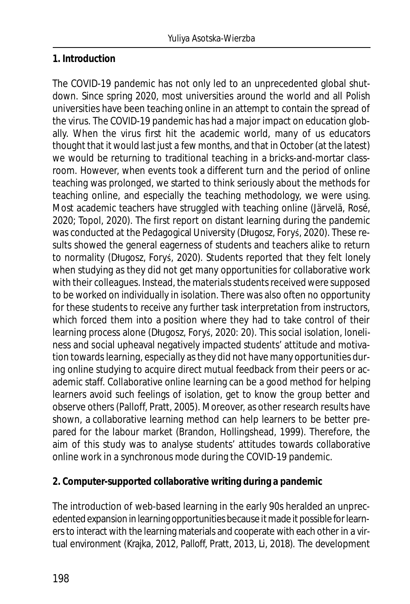## **1. Introduction**

The COVID-19 pandemic has not only led to an unprecedented global shutdown. Since spring 2020, most universities around the world and all Polish universities have been teaching online in an attempt to contain the spread of the virus. The COVID-19 pandemic has had a major impact on education globally. When the virus first hit the academic world, many of us educators thought that it would last just a few months, and that in October (at the latest) we would be returning to traditional teaching in a bricks-and-mortar classroom. However, when events took a different turn and the period of online teaching was prolonged, we started to think seriously about the methods for teaching online, and especially the teaching methodology, we were using. Most academic teachers have struggled with teaching online (Järvelä, Rosé, 2020; Topol, 2020). The first report on distant learning during the pandemic was conducted at the Pedagogical University (Długosz, Foryś, 2020). These results showed the general eagerness of students and teachers alike to return to normality (Długosz, Foryś, 2020). Students reported that they felt lonely when studying as they did not get many opportunities for collaborative work with their colleagues. Instead, the materials students received were supposed to be worked on individually in isolation. There was also often no opportunity for these students to receive any further task interpretation from instructors, which forced them into a position where they had to take control of their learning process alone (Długosz, Foryś, 2020: 20). This social isolation, loneliness and social upheaval negatively impacted students' attitude and motivation towards learning, especially as they did not have many opportunities during online studying to acquire direct mutual feedback from their peers or academic staff. Collaborative online learning can be a good method for helping learners avoid such feelings of isolation, get to know the group better and observe others (Palloff, Pratt, 2005). Moreover, as other research results have shown, a collaborative learning method can help learners to be better prepared for the labour market (Brandon, Hollingshead, 1999). Therefore, the aim of this study was to analyse students' attitudes towards collaborative online work in a synchronous mode during the COVID-19 pandemic.

**2. Computer-supported collaborative writing during a pandemic**

The introduction of web-based learning in the early 90s heralded an unprecedented expansion in learning opportunities because it made it possible for learners to interact with the learning materials and cooperate with each other in a virtual environment (Krajka, 2012, Palloff, Pratt, 2013, Li, 2018). The development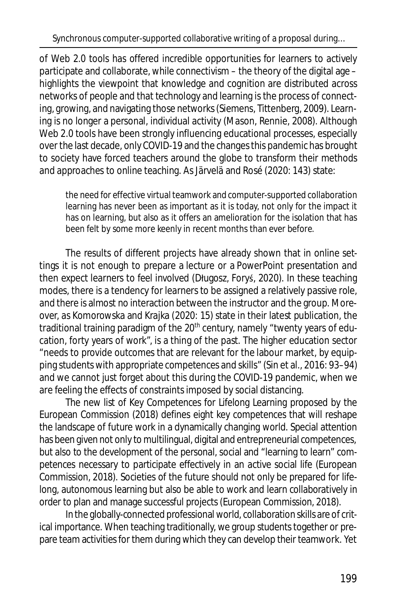Synchronous computer-supported collaborative writing of a proposal during…

of Web 2.0 tools has offered incredible opportunities for learners to actively participate and collaborate, while connectivism – the theory of the digital age – highlights the viewpoint that knowledge and cognition are distributed across networks of people and that technology and learning is the process of connecting, growing, and navigating those networks (Siemens, Tittenberg, 2009). Learning is no longer a personal, individual activity (Mason, Rennie, 2008). Although Web 2.0 tools have been strongly influencing educational processes, especially over the last decade, only COVID-19 and the changes this pandemic has brought to society have forced teachers around the globe to transform their methods and approaches to online teaching. As Järvelä and Rosé (2020: 143) state:

the need for effective virtual teamwork and computer-supported collaboration learning has never been as important as it is today, not only for the impact it has on learning, but also as it offers an amelioration for the isolation that has been felt by some more keenly in recent months than ever before.

The results of different projects have already shown that in online settings it is not enough to prepare a lecture or a PowerPoint presentation and then expect learners to feel involved (Długosz, Foryś, 2020). In these teaching modes, there is a tendency for learners to be assigned a relatively passive role, and there is almost no interaction between the instructor and the group. Moreover, as Komorowska and Krajka (2020: 15) state in their latest publication, the traditional training paradigm of the 20<sup>th</sup> century, namely "twenty years of education, forty years of work", is a thing of the past. The higher education sector "needs to provide outcomes that are relevant for the labour market, by equipping students with appropriate competences and skills" (Sin et al., 2016: 93–94) and we cannot just forget about this during the COVID-19 pandemic, when we are feeling the effects of constraints imposed by social distancing.

The new list of Key Competences for Lifelong Learning proposed by the European Commission (2018) defines eight key competences that will reshape the landscape of future work in a dynamically changing world. Special attention has been given not only to multilingual, digital and entrepreneurial competences, but also to the development of the personal, social and "learning to learn" competences necessary to participate effectively in an active social life (European Commission, 2018). Societies of the future should not only be prepared for lifelong, autonomous learning but also be able to work and learn collaboratively in order to plan and manage successful projects (European Commission, 2018).

In the globally-connected professional world, collaboration skills are of critical importance. When teaching traditionally, we group students together or prepare team activities for them during which they can develop their teamwork. Yet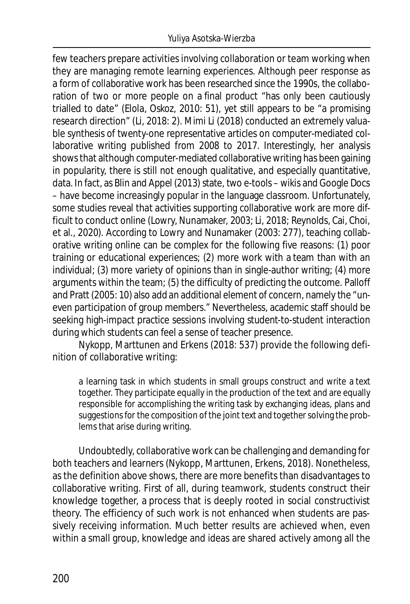few teachers prepare activities involving collaboration or team working when they are managing remote learning experiences. Although peer response as a form of collaborative work has been researched since the 1990s, the collaboration of two or more people on a final product "has only been cautiously trialled to date" (Elola, Oskoz, 2010: 51), yet still appears to be "a promising research direction" (Li, 2018: 2). Mimi Li (2018) conducted an extremely valuable synthesis of twenty-one representative articles on computer-mediated collaborative writing published from 2008 to 2017. Interestingly, her analysis shows that although computer-mediated collaborative writing has been gaining in popularity, there is still not enough qualitative, and especially quantitative, data. In fact, as Blin and Appel (2013) state, two e-tools – wikis and Google Docs – have become increasingly popular in the language classroom. Unfortunately, some studies reveal that activities supporting collaborative work are more difficult to conduct online (Lowry, Nunamaker, 2003; Li, 2018; Reynolds, Cai, Choi, et al., 2020). According to Lowry and Nunamaker (2003: 277), teaching collaborative writing online can be complex for the following five reasons: (1) poor training or educational experiences; (2) more work with a team than with an individual; (3) more variety of opinions than in single-author writing; (4) more arguments within the team; (5) the difficulty of predicting the outcome. Palloff and Pratt (2005: 10) also add an additional element of concern, namely the "uneven participation of group members." Nevertheless, academic staff should be seeking high-impact practice sessions involving student-to-student interaction during which students can feel a sense of teacher presence.

Nykopp, Marttunen and Erkens (2018: 537) provide the following definition of collaborative writing:

a learning task in which students in small groups construct and write a text together. They participate equally in the production of the text and are equally responsible for accomplishing the writing task by exchanging ideas, plans and suggestions for the composition of the joint text and together solving the problems that arise during writing.

Undoubtedly, collaborative work can be challenging and demanding for both teachers and learners (Nykopp, Marttunen, Erkens, 2018). Nonetheless, as the definition above shows, there are more benefits than disadvantages to collaborative writing. First of all, during teamwork, students construct their knowledge together, a process that is deeply rooted in social constructivist theory. The efficiency of such work is not enhanced when students are passively receiving information. Much better results are achieved when, even within a small group, knowledge and ideas are shared actively among all the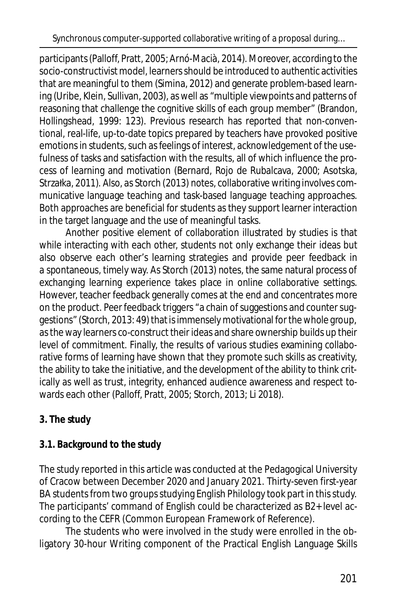participants (Palloff, Pratt, 2005; Arnó-Macià, 2014). Moreover, according to the socio-constructivist model, learners should be introduced to authentic activities that are meaningful to them (Simina, 2012) and generate problem-based learning (Uribe, Klein, Sullivan, 2003), as well as "multiple viewpoints and patterns of reasoning that challenge the cognitive skills of each group member" (Brandon, Hollingshead, 1999: 123). Previous research has reported that non-conventional, real-life, up-to-date topics prepared by teachers have provoked positive emotions in students, such as feelings of interest, acknowledgement of the usefulness of tasks and satisfaction with the results, all of which influence the process of learning and motivation (Bernard, Rojo de Rubalcava, 2000; Asotska, Strzałka, 2011). Also, as Storch (2013) notes, collaborative writing involves communicative language teaching and task-based language teaching approaches. Both approaches are beneficial for students as they support learner interaction in the target language and the use of meaningful tasks.

Another positive element of collaboration illustrated by studies is that while interacting with each other, students not only exchange their ideas but also observe each other's learning strategies and provide peer feedback in a spontaneous, timely way. As Storch (2013) notes, the same natural process of exchanging learning experience takes place in online collaborative settings. However, teacher feedback generally comes at the end and concentrates more on the product. Peer feedback triggers "a chain of suggestions and counter suggestions" (Storch, 2013: 49) that is immensely motivational for the whole group, as the way learners co-construct their ideas and share ownership builds up their level of commitment. Finally, the results of various studies examining collaborative forms of learning have shown that they promote such skills as creativity, the ability to take the initiative, and the development of the ability to think critically as well as trust, integrity, enhanced audience awareness and respect towards each other (Palloff, Pratt, 2005; Storch, 2013; Li 2018).

# **3. The study**

# **3.1. Background to the study**

The study reported in this article was conducted at the Pedagogical University of Cracow between December 2020 and January 2021. Thirty-seven first-year BA students from two groups studying English Philology took part in this study. The participants' command of English could be characterized as B2+ level according to the CEFR (Common European Framework of Reference).

The students who were involved in the study were enrolled in the obligatory 30-hour Writing component of the Practical English Language Skills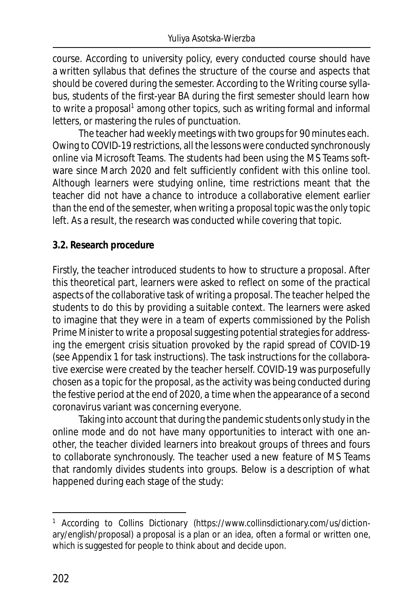course. According to university policy, every conducted course should have a written syllabus that defines the structure of the course and aspects that should be covered during the semester. According to the Writing course syllabus, students of the first-year BA during the first semester should learn how to write a proposal<sup>1</sup> among other topics, such as writing formal and informal letters, or mastering the rules of punctuation.

The teacher had weekly meetings with two groups for 90 minutes each. Owing to COVID-19 restrictions, all the lessons were conducted synchronously online via Microsoft Teams. The students had been using the MS Teams software since March 2020 and felt sufficiently confident with this online tool. Although learners were studying online, time restrictions meant that the teacher did not have a chance to introduce a collaborative element earlier than the end of the semester, when writing a proposal topic was the only topic left. As a result, the research was conducted while covering that topic.

#### **3.2. Research procedure**

Firstly, the teacher introduced students to how to structure a proposal. After this theoretical part, learners were asked to reflect on some of the practical aspects of the collaborative task of writing a proposal. The teacher helped the students to do this by providing a suitable context. The learners were asked to imagine that they were in a team of experts commissioned by the Polish Prime Minister to write a proposal suggesting potential strategies for addressing the emergent crisis situation provoked by the rapid spread of COVID-19 (see Appendix 1 for task instructions). The task instructions for the collaborative exercise were created by the teacher herself. COVID-19 was purposefully chosen as a topic for the proposal, as the activity was being conducted during the festive period at the end of 2020, a time when the appearance of a second coronavirus variant was concerning everyone.

Taking into account that during the pandemic students only study in the online mode and do not have many opportunities to interact with one another, the teacher divided learners into breakout groups of threes and fours to collaborate synchronously. The teacher used a new feature of MS Teams that randomly divides students into groups. Below is a description of what happened during each stage of the study:

<sup>&</sup>lt;sup>1</sup> According to Collins Dictionary (https://www.collinsdictionary.com/us/dictionary/english/proposal) a proposal is a plan or an idea, often a formal or written one, which is suggested for people to think about and decide upon.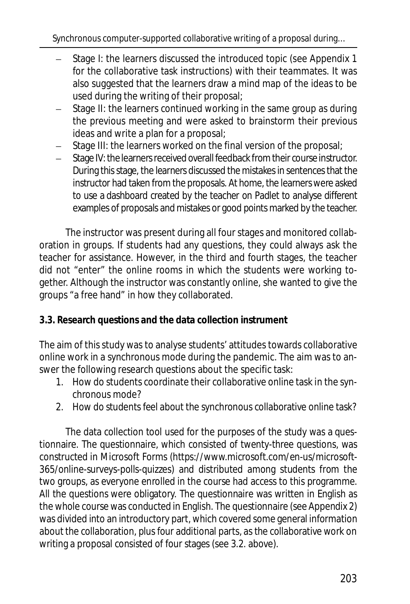- Stage I: the learners discussed the introduced topic (see Appendix 1 for the collaborative task instructions) with their teammates. It was also suggested that the learners draw a mind map of the ideas to be used during the writing of their proposal;
- Stage II: the learners continued working in the same group as during the previous meeting and were asked to brainstorm their previous ideas and write a plan for a proposal;
- Stage III: the learners worked on the final version of the proposal;
- Stage IV: the learners received overall feedback from their course instructor. During this stage, the learners discussed the mistakes in sentences that the instructor had taken from the proposals. At home, the learners were asked to use a dashboard created by the teacher on Padlet to analyse different examples of proposals and mistakes or good points marked by the teacher.

The instructor was present during all four stages and monitored collaboration in groups. If students had any questions, they could always ask the teacher for assistance. However, in the third and fourth stages, the teacher did not "enter" the online rooms in which the students were working together. Although the instructor was constantly online, she wanted to give the groups "a free hand" in how they collaborated.

# **3.3. Research questions and the data collection instrument**

The aim of this study was to analyse students' attitudes towards collaborative online work in a synchronous mode during the pandemic. The aim was to answer the following research questions about the specific task:

- 1. How do students coordinate their collaborative online task in the synchronous mode?
- 2. How do students feel about the synchronous collaborative online task?

The data collection tool used for the purposes of the study was a questionnaire. The questionnaire, which consisted of twenty-three questions, was constructed in Microsoft Forms (https://www.microsoft.com/en-us/microsoft-365/online-surveys-polls-quizzes) and distributed among students from the two groups, as everyone enrolled in the course had access to this programme. All the questions were obligatory. The questionnaire was written in English as the whole course was conducted in English. The questionnaire (see Appendix 2) was divided into an introductory part, which covered some general information about the collaboration, plus four additional parts, as the collaborative work on writing a proposal consisted of four stages (see 3.2. above).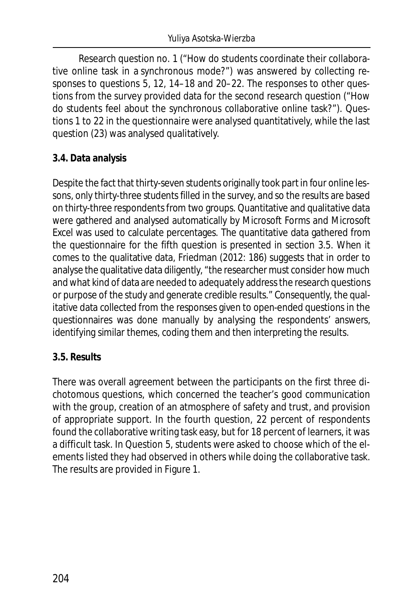Research question no. 1 ("How do students coordinate their collaborative online task in a synchronous mode?") was answered by collecting responses to questions 5, 12, 14–18 and 20–22. The responses to other questions from the survey provided data for the second research question ("How do students feel about the synchronous collaborative online task?"). Questions 1 to 22 in the questionnaire were analysed quantitatively, while the last question (23) was analysed qualitatively.

#### **3.4. Data analysis**

Despite the fact that thirty-seven students originally took part in four online lessons, only thirty-three students filled in the survey, and so the results are based on thirty-three respondents from two groups. Quantitative and qualitative data were gathered and analysed automatically by Microsoft Forms and Microsoft Excel was used to calculate percentages. The quantitative data gathered from the questionnaire for the fifth question is presented in section 3.5. When it comes to the qualitative data, Friedman (2012: 186) suggests that in order to analyse the qualitative data diligently, "the researcher must consider how much and what kind of data are needed to adequately address the research questions or purpose of the study and generate credible results." Consequently, the qualitative data collected from the responses given to open-ended questions in the questionnaires was done manually by analysing the respondents' answers, identifying similar themes, coding them and then interpreting the results.

#### **3.5. Results**

There was overall agreement between the participants on the first three dichotomous questions, which concerned the teacher's good communication with the group, creation of an atmosphere of safety and trust, and provision of appropriate support. In the fourth question, 22 percent of respondents found the collaborative writing task easy, but for 18 percent of learners, it was a difficult task. In Question 5, students were asked to choose which of the elements listed they had observed in others while doing the collaborative task. The results are provided in Figure 1.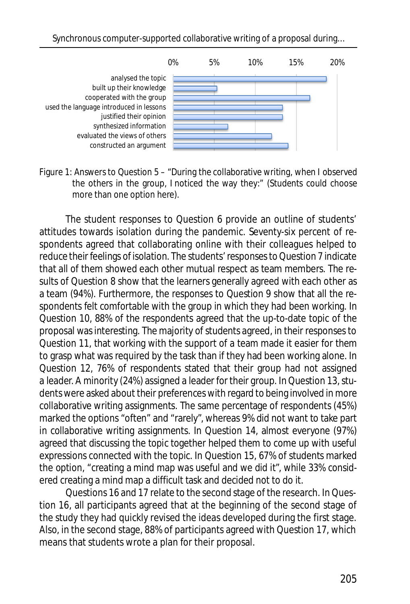

Figure 1: Answers to Question 5 – "During the collaborative writing, when I observed the others in the group, I noticed the way they:" (Students could choose more than one option here).

The student responses to Question 6 provide an outline of students' attitudes towards isolation during the pandemic. Seventy-six percent of respondents agreed that collaborating online with their colleagues helped to reduce their feelings of isolation. The students' responses to Question 7 indicate that all of them showed each other mutual respect as team members. The results of Question 8 show that the learners generally agreed with each other as a team (94%). Furthermore, the responses to Question 9 show that all the respondents felt comfortable with the group in which they had been working. In Question 10, 88% of the respondents agreed that the up-to-date topic of the proposal was interesting. The majority of students agreed, in their responses to Question 11, that working with the support of a team made it easier for them to grasp what was required by the task than if they had been working alone. In Question 12, 76% of respondents stated that their group had not assigned a leader. A minority (24%) assigned a leader for their group. In Question 13, students were asked about their preferences with regard to being involved in more collaborative writing assignments. The same percentage of respondents (45%) marked the options "often" and "rarely", whereas 9% did not want to take part in collaborative writing assignments. In Question 14, almost everyone (97%) agreed that discussing the topic together helped them to come up with useful expressions connected with the topic. In Question 15, 67% of students marked the option, "creating a mind map was useful and we did it", while 33% considered creating a mind map a difficult task and decided not to do it.

Questions 16 and 17 relate to the second stage of the research. In Question 16, all participants agreed that at the beginning of the second stage of the study they had quickly revised the ideas developed during the first stage. Also, in the second stage, 88% of participants agreed with Question 17, which means that students wrote a plan for their proposal.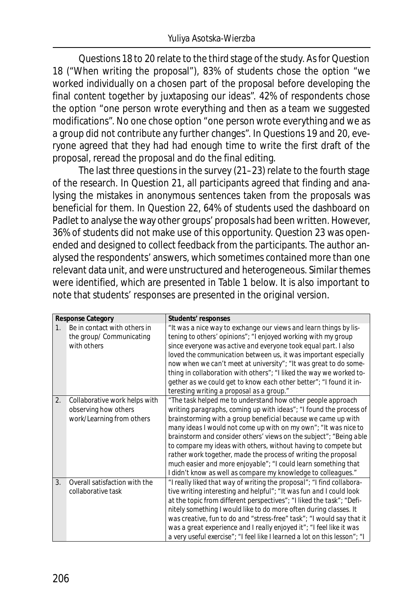Questions 18 to 20 relate to the third stage of the study. As for Question 18 ("When writing the proposal"), 83% of students chose the option "we worked individually on a chosen part of the proposal before developing the final content together by juxtaposing our ideas". 42% of respondents chose the option "one person wrote everything and then as a team we suggested modifications". No one chose option "one person wrote everything and we as a group did not contribute any further changes". In Questions 19 and 20, everyone agreed that they had had enough time to write the first draft of the proposal, reread the proposal and do the final editing.

The last three questions in the survey (21–23) relate to the fourth stage of the research. In Question 21, all participants agreed that finding and analysing the mistakes in anonymous sentences taken from the proposals was beneficial for them. In Question 22, 64% of students used the dashboard on Padlet to analyse the way other groups' proposals had been written. However, 36% of students did not make use of this opportunity. Question 23 was openended and designed to collect feedback from the participants. The author analysed the respondents' answers, which sometimes contained more than one relevant data unit, and were unstructured and heterogeneous. Similar themes were identified, which are presented in Table 1 below. It is also important to note that students' responses are presented in the original version.

| <b>Response Category</b> |                               | Students' responses                                                       |
|--------------------------|-------------------------------|---------------------------------------------------------------------------|
| $1_{-}$                  | Be in contact with others in  | "It was a nice way to exchange our views and learn things by lis-         |
|                          | the group/ Communicating      | tening to others' opinions"; "I enjoyed working with my group             |
|                          | with others                   | since everyone was active and everyone took equal part. I also            |
|                          |                               | loved the communication between us, it was important especially           |
|                          |                               | now when we can't meet at university"; "It was great to do some-          |
|                          |                               | thing in collaboration with others"; "I liked the way we worked to-       |
|                          |                               | gether as we could get to know each other better"; "I found it in-        |
|                          |                               | teresting writing a proposal as a group."                                 |
| 2.                       | Collaborative work helps with | "The task helped me to understand how other people approach               |
|                          | observing how others          | writing paragraphs, coming up with ideas"; "I found the process of        |
|                          | work/Learning from others     | brainstorming with a group beneficial because we came up with             |
|                          |                               | many ideas I would not come up with on my own"; "It was nice to           |
|                          |                               | brainstorm and consider others' views on the subject"; "Being able        |
|                          |                               | to compare my ideas with others, without having to compete but            |
|                          |                               | rather work together, made the process of writing the proposal            |
|                          |                               | much easier and more enjoyable"; "I could learn something that            |
|                          |                               | I didn't know as well as compare my knowledge to colleagues."             |
| $\mathcal{R}$            | Overall satisfaction with the | "I really liked that way of writing the proposal"; "I find collabora-     |
|                          | collaborative task            | tive writing interesting and helpful"; "It was fun and I could look       |
|                          |                               | at the topic from different perspectives"; "I liked the task"; "Defi-     |
|                          |                               | nitely something I would like to do more often during classes. It         |
|                          |                               | was creative, fun to do and "stress-free" task"; "I would say that it     |
|                          |                               | was a great experience and I really enjoyed it"; "I feel like it was      |
|                          |                               | a very useful exercise"; "I feel like I learned a lot on this lesson"; "I |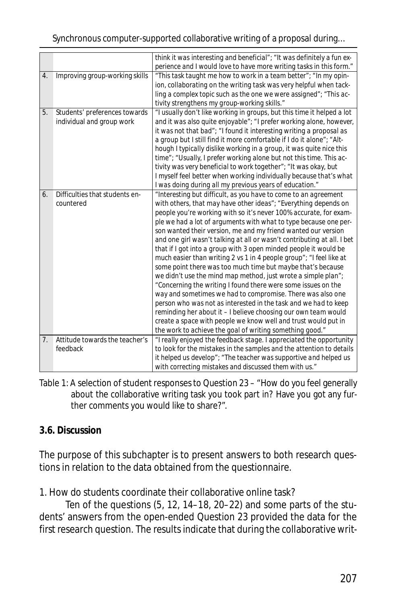#### Synchronous computer-supported collaborative writing of a proposal during…

|                |                                | think it was interesting and beneficial"; "It was definitely a fun ex-<br>perience and I would love to have more writing tasks in this form." |
|----------------|--------------------------------|-----------------------------------------------------------------------------------------------------------------------------------------------|
| 4.             | Improving group-working skills | "This task taught me how to work in a team better"; "In my opin-                                                                              |
|                |                                | ion, collaborating on the writing task was very helpful when tack-                                                                            |
|                |                                | ling a complex topic such as the one we were assigned"; "This ac-                                                                             |
|                |                                |                                                                                                                                               |
|                |                                | tivity strengthens my group-working skills."                                                                                                  |
| 5.             | Students' preferences towards  | "I usually don't like working in groups, but this time it helped a lot                                                                        |
|                | individual and group work      | and it was also quite enjoyable"; "I prefer working alone, however,                                                                           |
|                |                                | it was not that bad"; "I found it interesting writing a proposal as                                                                           |
|                |                                | a group but I still find it more comfortable if I do it alone"; "Alt-                                                                         |
|                |                                | hough I typically dislike working in a group, it was quite nice this                                                                          |
|                |                                | time"; "Usually, I prefer working alone but not this time. This ac-                                                                           |
|                |                                | tivity was very beneficial to work together"; "It was okay, but                                                                               |
|                |                                | I myself feel better when working individually because that's what                                                                            |
|                |                                | I was doing during all my previous years of education."                                                                                       |
| 6.             | Difficulties that students en- | "Interesting but difficult, as you have to come to an agreement                                                                               |
|                | countered                      | with others, that may have other ideas"; "Everything depends on                                                                               |
|                |                                | people you're working with so it's never 100% accurate, for exam-                                                                             |
|                |                                | ple we had a lot of arguments with what to type because one per-                                                                              |
|                |                                | son wanted their version, me and my friend wanted our version                                                                                 |
|                |                                | and one girl wasn't talking at all or wasn't contributing at all. I bet                                                                       |
|                |                                | that if I got into a group with 3 open minded people it would be                                                                              |
|                |                                |                                                                                                                                               |
|                |                                | much easier than writing 2 vs 1 in 4 people group"; "I feel like at                                                                           |
|                |                                | some point there was too much time but maybe that's because                                                                                   |
|                |                                | we didn't use the mind map method, just wrote a simple plan";                                                                                 |
|                |                                | "Concerning the writing I found there were some issues on the                                                                                 |
|                |                                | way and sometimes we had to compromise. There was also one                                                                                    |
|                |                                | person who was not as interested in the task and we had to keep                                                                               |
|                |                                | reminding her about it - I believe choosing our own team would                                                                                |
|                |                                | create a space with people we know well and trust would put in                                                                                |
|                |                                | the work to achieve the goal of writing something good."                                                                                      |
| 7 <sup>1</sup> | Attitude towards the teacher's | "I really enjoyed the feedback stage. I appreciated the opportunity                                                                           |
|                | feedback                       | to look for the mistakes in the samples and the attention to details                                                                          |
|                |                                | it helped us develop"; "The teacher was supportive and helped us                                                                              |
|                |                                | with correcting mistakes and discussed them with us."                                                                                         |

Table 1: A selection of student responses to Question 23 – "How do you feel generally about the collaborative writing task you took part in? Have you got any further comments you would like to share?".

## **3.6. Discussion**

The purpose of this subchapter is to present answers to both research questions in relation to the data obtained from the questionnaire.

1. How do students coordinate their collaborative online task?

Ten of the questions (5, 12, 14–18, 20–22) and some parts of the students' answers from the open-ended Question 23 provided the data for the first research question. The results indicate that during the collaborative writ-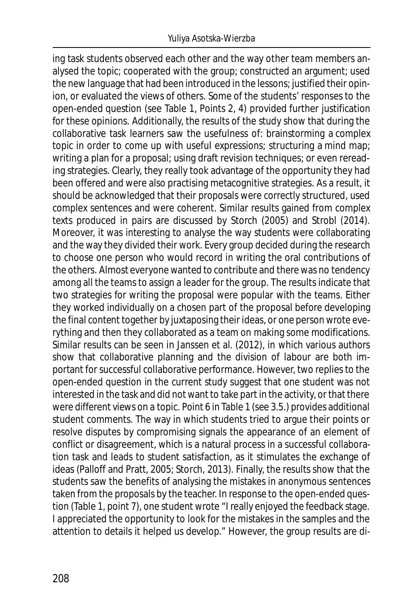ing task students observed each other and the way other team members analysed the topic; cooperated with the group; constructed an argument; used the new language that had been introduced in the lessons; justified their opinion, or evaluated the views of others. Some of the students' responses to the open-ended question (see Table 1, Points 2, 4) provided further justification for these opinions. Additionally, the results of the study show that during the collaborative task learners saw the usefulness of: brainstorming a complex topic in order to come up with useful expressions; structuring a mind map; writing a plan for a proposal; using draft revision techniques; or even rereading strategies. Clearly, they really took advantage of the opportunity they had been offered and were also practising metacognitive strategies. As a result, it should be acknowledged that their proposals were correctly structured, used complex sentences and were coherent. Similar results gained from complex texts produced in pairs are discussed by Storch (2005) and Strobl (2014). Moreover, it was interesting to analyse the way students were collaborating and the way they divided their work. Every group decided during the research to choose one person who would record in writing the oral contributions of the others. Almost everyone wanted to contribute and there was no tendency among all the teams to assign a leader for the group. The results indicate that two strategies for writing the proposal were popular with the teams. Either they worked individually on a chosen part of the proposal before developing the final content together by juxtaposing their ideas, or one person wrote everything and then they collaborated as a team on making some modifications. Similar results can be seen in Janssen et al. (2012), in which various authors show that collaborative planning and the division of labour are both important for successful collaborative performance. However, two replies to the open-ended question in the current study suggest that one student was not interested in the task and did not want to take part in the activity, or that there were different views on a topic. Point 6 in Table 1 (see 3.5.) provides additional student comments. The way in which students tried to argue their points or resolve disputes by compromising signals the appearance of an element of conflict or disagreement, which is a natural process in a successful collaboration task and leads to student satisfaction, as it stimulates the exchange of ideas (Palloff and Pratt, 2005; Storch, 2013). Finally, the results show that the students saw the benefits of analysing the mistakes in anonymous sentences taken from the proposals by the teacher. In response to the open-ended question (Table 1, point 7), one student wrote "I really enjoyed the feedback stage. I appreciated the opportunity to look for the mistakes in the samples and the attention to details it helped us develop." However, the group results are di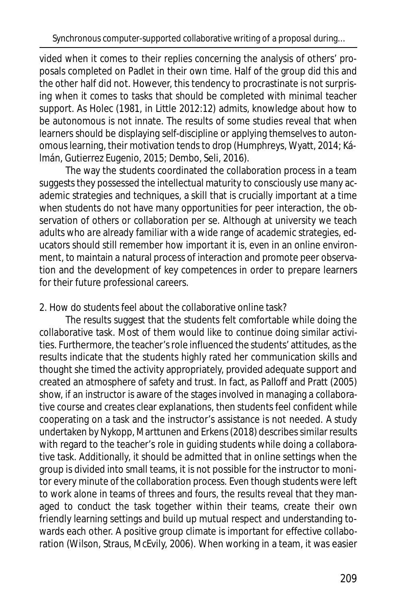vided when it comes to their replies concerning the analysis of others' proposals completed on Padlet in their own time. Half of the group did this and the other half did not. However, this tendency to procrastinate is not surprising when it comes to tasks that should be completed with minimal teacher support. As Holec (1981, in Little 2012:12) admits, knowledge about how to be autonomous is not innate. The results of some studies reveal that when learners should be displaying self-discipline or applying themselves to autonomous learning, their motivation tends to drop (Humphreys, Wyatt, 2014; Kálmán, Gutierrez Eugenio, 2015; Dembo, Seli, 2016).

The way the students coordinated the collaboration process in a team suggests they possessed the intellectual maturity to consciously use many academic strategies and techniques, a skill that is crucially important at a time when students do not have many opportunities for peer interaction, the observation of others or collaboration per se. Although at university we teach adults who are already familiar with a wide range of academic strategies, educators should still remember how important it is, even in an online environment, to maintain a natural process of interaction and promote peer observation and the development of key competences in order to prepare learners for their future professional careers.

## 2. How do students feel about the collaborative online task?

The results suggest that the students felt comfortable while doing the collaborative task. Most of them would like to continue doing similar activities. Furthermore, the teacher's role influenced the students' attitudes, as the results indicate that the students highly rated her communication skills and thought she timed the activity appropriately, provided adequate support and created an atmosphere of safety and trust. In fact, as Palloff and Pratt (2005) show, if an instructor is aware of the stages involved in managing a collaborative course and creates clear explanations, then students feel confident while cooperating on a task and the instructor's assistance is not needed. A study undertaken by Nykopp, Marttunen and Erkens (2018) describes similar results with regard to the teacher's role in guiding students while doing a collaborative task. Additionally, it should be admitted that in online settings when the group is divided into small teams, it is not possible for the instructor to monitor every minute of the collaboration process. Even though students were left to work alone in teams of threes and fours, the results reveal that they managed to conduct the task together within their teams, create their own friendly learning settings and build up mutual respect and understanding towards each other. A positive group climate is important for effective collaboration (Wilson, Straus, McEvily, 2006). When working in a team, it was easier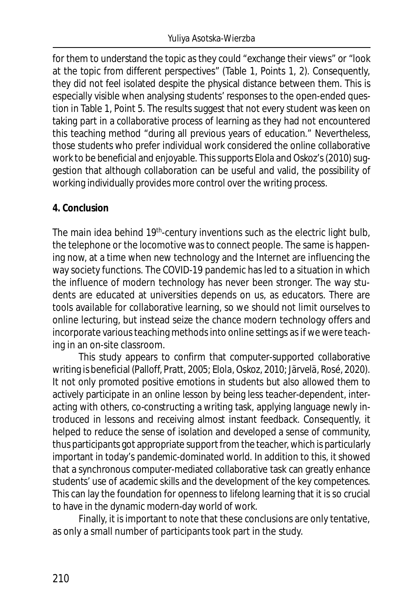for them to understand the topic as they could "exchange their views" or "look at the topic from different perspectives" (Table 1, Points 1, 2). Consequently, they did not feel isolated despite the physical distance between them. This is especially visible when analysing students' responses to the open-ended question in Table 1, Point 5. The results suggest that not every student was keen on taking part in a collaborative process of learning as they had not encountered this teaching method "during all previous years of education." Nevertheless, those students who prefer individual work considered the online collaborative work to be beneficial and enjoyable. This supports Elola and Oskoz's (2010) suggestion that although collaboration can be useful and valid, the possibility of working individually provides more control over the writing process.

#### **4. Conclusion**

The main idea behind 19<sup>th</sup>-century inventions such as the electric light bulb, the telephone or the locomotive was to connect people. The same is happening now, at a time when new technology and the Internet are influencing the way society functions. The COVID-19 pandemic has led to a situation in which the influence of modern technology has never been stronger. The way students are educated at universities depends on us, as educators. There are tools available for collaborative learning, so we should not limit ourselves to online lecturing, but instead seize the chance modern technology offers and incorporate various teaching methods into online settings as if we were teaching in an on-site classroom.

This study appears to confirm that computer-supported collaborative writing is beneficial (Palloff, Pratt, 2005; Elola, Oskoz, 2010; Järvelä, Rosé, 2020). It not only promoted positive emotions in students but also allowed them to actively participate in an online lesson by being less teacher-dependent, interacting with others, co-constructing a writing task, applying language newly introduced in lessons and receiving almost instant feedback. Consequently, it helped to reduce the sense of isolation and developed a sense of community, thus participants got appropriate support from the teacher, which is particularly important in today's pandemic-dominated world. In addition to this, it showed that a synchronous computer-mediated collaborative task can greatly enhance students' use of academic skills and the development of the key competences. This can lay the foundation for openness to lifelong learning that it is so crucial to have in the dynamic modern-day world of work.

Finally, it is important to note that these conclusions are only tentative, as only a small number of participants took part in the study.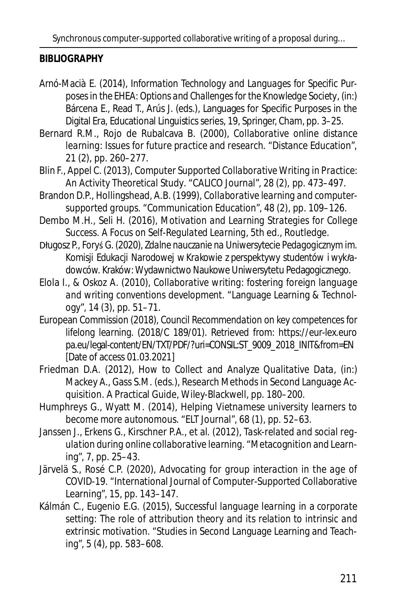Synchronous computer-supported collaborative writing of a proposal during…

#### **BIBLIOGRAPHY**

- Arnó-Macià E. (2014), *Information Technology and Languages for Specific Purposes in the EHEA: Options and Challenges for the Knowledge Society*, (in:) Bárcena E., Read T., Arús J. (eds.), Languages for Specific Purposes in the Digital Era, Educational Linguistics series, 19, Springer, Cham, pp. 3–25.
- Bernard R.M., Rojo de Rubalcava B. (2000), *Collaborative online distance learning: Issues for future practice and research.* "Distance Education", 21 (2), pp. 260–277.
- Blin F., Appel C. (2013), *Computer Supported Collaborative Writing in Practice: An Activity Theoretical Study*. "CALICO Journal", 28 (2), pp. 473–497.
- Brandon D.P., Hollingshead, A.B. (1999), *Collaborative learning and computersupported groups.* "Communication Education", 48 (2), pp. 109–126.
- Dembo M.H., Seli H. (2016), *Motivation and Learning Strategies for College Success. A Focus on Self-Regulated Learning,* 5th ed., Routledge.
- Długosz P., Foryś G. (2020), *Zdalne nauczanie na Uniwersytecie Pedagogicznym im. Komisji Edukacji Narodowej w Krakowie z perspektywy studentów i wykładowców.* Kraków: Wydawnictwo Naukowe Uniwersytetu Pedagogicznego.
- Elola I., & Oskoz A. (2010), *Collaborative writing: fostering foreign language and writing conventions development. "*Language Learning & Technology", 14 (3), pp. 51–71.
- European Commission (2018), *Council Recommendation on key competences for lifelong learning.* (2018/C 189/01). Retrieved from: https://eur-lex.euro pa.eu/legal-content/EN/TXT/PDF/?uri=CONSIL:ST\_9009\_2018\_INIT&from=EN [Date of access 01.03.2021]
- Friedman D.A. (2012), *How to Collect and Analyze Qualitative Data,* (in:) Mackey A., Gass S.M. (eds.), Research Methods in Second Language Acquisition. A Practical Guide, Wiley-Blackwell, pp. 180–200.
- Humphreys G., Wyatt M. (2014), *Helping Vietnamese university learners to become more autonomous*. "ELT Journal", 68 (1), pp. 52–63.
- Janssen J., Erkens G., Kirschner P.A., et al. (2012), *Task-related and social regulation during online collaborative learning.* "Metacognition and Learning", 7, pp. 25–43.
- Järvelä S., Rosé C.P. (2020), *Advocating for group interaction in the age of COVID-19.* "International Journal of Computer-Supported Collaborative Learning", 15, pp. 143–147.
- Kálmán C., Eugenio E.G. (2015), *Successful language learning in a corporate setting: The role of attribution theory and its relation to intrinsic and extrinsic motivation*. "Studies in Second Language Learning and Teaching", 5 (4), pp. 583–608.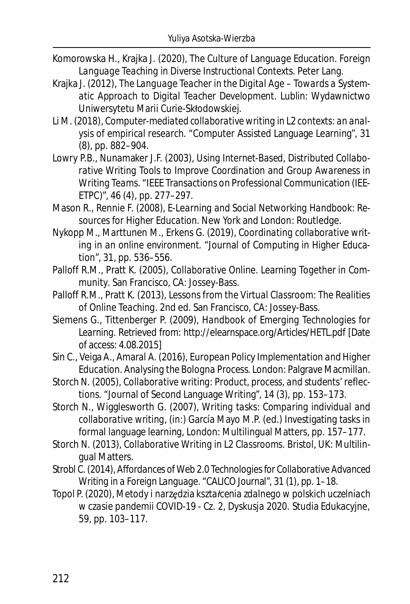- Komorowska H., Krajka J. (2020), *The Culture of Language Education. Foreign Language Teaching in Diverse Instructional Contexts*. Peter Lang.
- Krajka J. (2012), *The Language Teacher in the Digital Age Towards a Systematic Approach to Digital Teacher Development.* Lublin: Wydawnictwo Uniwersytetu Marii Curie-Skłodowskiej.
- Li M. (2018), *Computer-mediated collaborative writing in L2 contexts: an analysis of empirical research.* "Computer Assisted Language Learning", 31 (8), pp. 882–904.
- Lowry P.B., Nunamaker J.F. (2003), *Using Internet-Based, Distributed Collaborative Writing Tools to Improve Coordination and Group Awareness in Writing Teams*. "IEEE Transactions on Professional Communication (IEE-ETPC)", 46 (4), pp. 277–297.
- Mason R., Rennie F. (2008), *E-Learning and Social Networking Handbook: Resources for Higher Education*. New York and London: Routledge.
- Nykopp M., Marttunen M., Erkens G. (2019), *Coordinating collaborative writing in an online environment.* "Journal of Computing in Higher Education", 31, pp. 536–556.
- Palloff R.M., Pratt K. (2005), *Collaborative Online. Learning Together in Community*. San Francisco, CA: Jossey-Bass.
- Palloff R.M., Pratt K. (2013), *Lessons from the Virtual Classroom: The Realities of Online Teaching.* 2nd ed. San Francisco, CA: Jossey-Bass.
- Siemens G., Tittenberger P. (2009), *Handbook of Emerging Technologies for Learning*. Retrieved from: http://elearnspace.org/Articles/HETL.pdf [Date of access: 4.08.2015]
- Sin C., Veiga A., Amaral A. (2016), *European Policy Implementation and Higher Education. Analysing the Bologna Process*. London: Palgrave Macmillan.
- Storch N. (2005), *Collaborative writing: Product, process, and students' reflections.* "Journal of Second Language Writing", 14 (3), pp. 153–173.
- Storch N., Wigglesworth G. (2007), *Writing tasks: Comparing individual and collaborative writing,* (in:) García Mayo M.P. (ed.) Investigating tasks in formal language learning, London: Multilingual Matters, pp. 157–177.
- Storch N. (2013), *Collaborative Writing in L2 Classrooms.* Bristol, UK: Multilingual Matters.
- Strobl C. (2014), *Affordances of Web 2.0 Technologies for Collaborative Advanced Writing in a Foreign Language.* "CALICO Journal", 31 (1), pp. 1–18.
- Topol P. (2020), *Metody i narzędzia kształcenia zdalnego w polskich uczelniach w czasie pandemii COVID-19 - Cz. 2, Dyskusja 2020.* Studia Edukacyjne, 59, pp. 103–117.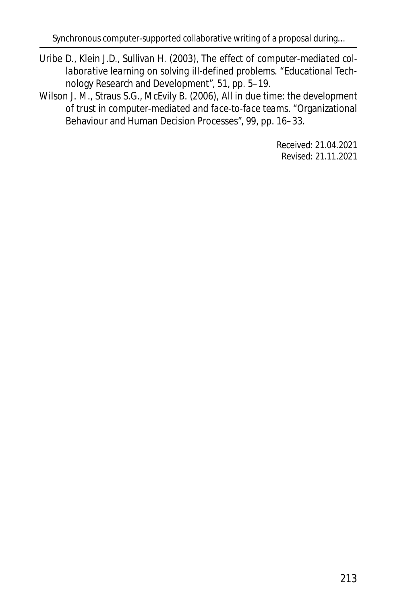- Uribe D., Klein J.D., Sullivan H. (2003), *The effect of computer-mediated collaborative learning on solving iII-defined problems.* "Educational Technology Research and Development", 51, pp. 5–19.
- Wilson J. M., Straus S.G., McEvily B. (2006), *All in due time: the development of trust in computer-mediated and face-to-face teams.* "Organizational Behaviour and Human Decision Processes", 99, pp. 16–33.

Received: 21.04.2021 Revised: 21.11.2021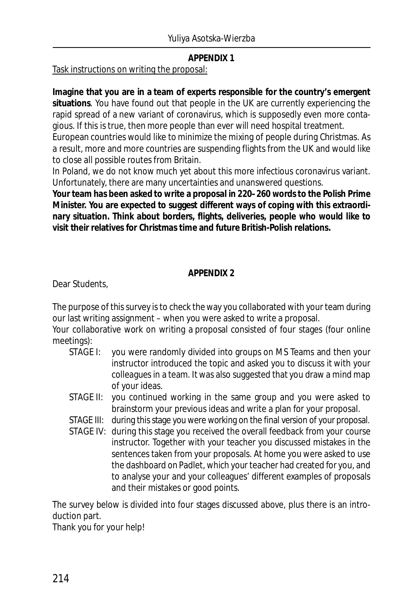#### **APPENDIX 1**

Task instructions on writing the proposal:

**Imagine that you are in a team of experts responsible for the country's emergent situations**. You have found out that people in the UK are currently experiencing the rapid spread of a new variant of coronavirus, which is supposedly even more contagious. If this is true, then more people than ever will need hospital treatment.

European countries would like to minimize the mixing of people during Christmas. As a result, more and more countries are suspending flights from the UK and would like to close all possible routes from Britain.

In Poland, we do not know much yet about this more infectious coronavirus variant. Unfortunately, there are many uncertainties and unanswered questions.

**Your team has been asked to write a proposal in 220–260 words to the Polish Prime Minister. You are expected to suggest different ways of coping with this extraordinary situation. Think about borders, flights, deliveries, people who would like to visit their relatives for Christmas time and future British-Polish relations.**

#### **APPENDIX 2**

Dear Students,

The purpose of this survey is to check the way you collaborated with your team during our last writing assignment – when you were asked to write a proposal.

Your collaborative work on writing a proposal consisted of four stages (four online meetings):

- STAGE I: you were randomly divided into groups on MS Teams and then your instructor introduced the topic and asked you to discuss it with your colleagues in a team. It was also suggested that you draw a mind map of your ideas.
- STAGE II: you continued working in the same group and you were asked to brainstorm your previous ideas and write a plan for your proposal.
- STAGE III: during this stage you were working on the final version of your proposal.
- STAGE IV: during this stage you received the overall feedback from your course instructor. Together with your teacher you discussed mistakes in the sentences taken from your proposals. At home you were asked to use the dashboard on Padlet, which your teacher had created for you, and to analyse your and your colleagues' different examples of proposals and their mistakes or good points.

The survey below is divided into four stages discussed above, plus there is an introduction part.

Thank you for your help!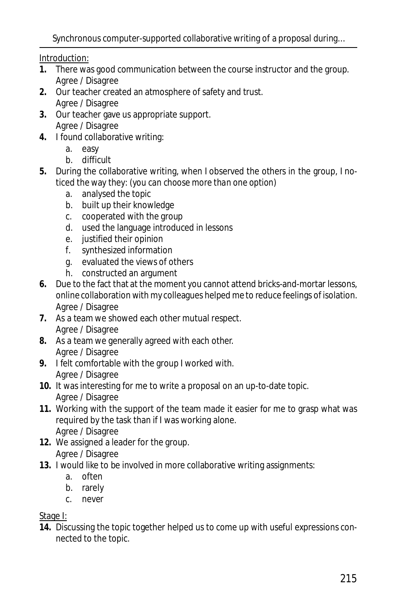Introduction:

- **1.** There was good communication between the course instructor and the group. Agree / Disagree
- **2.** Our teacher created an atmosphere of safety and trust. Agree / Disagree
- **3.** Our teacher gave us appropriate support. Agree / Disagree
- **4.** I found collaborative writing:
	- a. easy
	- b. difficult
- **5.** During the collaborative writing, when I observed the others in the group, I noticed the way they: *(you can choose more than one option)*
	- a. analysed the topic
	- b. built up their knowledge
	- c. cooperated with the group
	- d. used the language introduced in lessons
	- e. justified their opinion
	- f. synthesized information
	- g. evaluated the views of others
	- h. constructed an argument
- **6.** Due to the fact that at the moment you cannot attend bricks-and-mortar lessons, online collaboration with my colleagues helped me to reduce feelings of isolation. Agree / Disagree
- **7.** As a team we showed each other mutual respect. Agree / Disagree
- **8.** As a team we generally agreed with each other. Agree / Disagree
- **9.** I felt comfortable with the group I worked with. Agree / Disagree
- **10.** It was interesting for me to write a proposal on an up-to-date topic. Agree / Disagree
- **11.** Working with the support of the team made it easier for me to grasp what was required by the task than if I was working alone. Agree / Disagree
- **12.** We assigned a leader for the group. Agree / Disagree
- **13.** I would like to be involved in more collaborative writing assignments:
	- a. often
	- b. rarely
	- c. never

## Stage I:

**14.** Discussing the topic together helped us to come up with useful expressions connected to the topic.